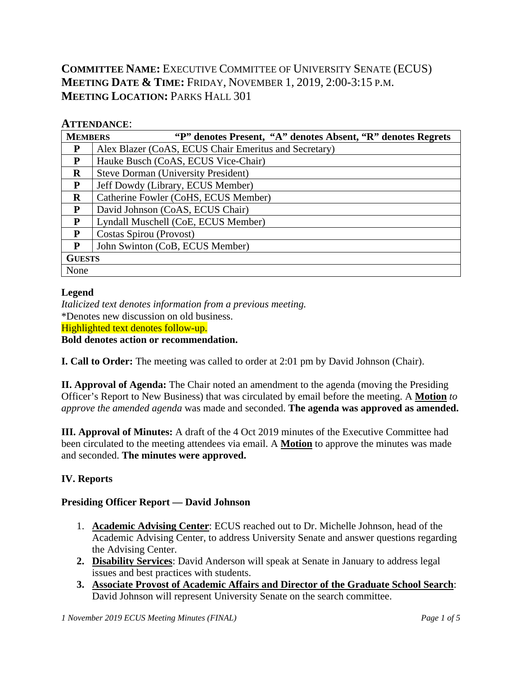# **COMMITTEE NAME:** EXECUTIVE COMMITTEE OF UNIVERSITY SENATE (ECUS) **MEETING DATE & TIME:** FRIDAY, NOVEMBER 1, 2019, 2:00-3:15 P.M. **MEETING LOCATION: PARKS HALL 301**

## **ATTENDANCE**:

| <b>MEMBERS</b> | "P" denotes Present, "A" denotes Absent, "R" denotes Regrets |  |  |  |  |  |  |  |
|----------------|--------------------------------------------------------------|--|--|--|--|--|--|--|
| P              | Alex Blazer (CoAS, ECUS Chair Emeritus and Secretary)        |  |  |  |  |  |  |  |
| P              | Hauke Busch (CoAS, ECUS Vice-Chair)                          |  |  |  |  |  |  |  |
| $\bf{R}$       | <b>Steve Dorman (University President)</b>                   |  |  |  |  |  |  |  |
| P              | Jeff Dowdy (Library, ECUS Member)                            |  |  |  |  |  |  |  |
| $\bf{R}$       | Catherine Fowler (CoHS, ECUS Member)                         |  |  |  |  |  |  |  |
| P              | David Johnson (CoAS, ECUS Chair)                             |  |  |  |  |  |  |  |
| P              | Lyndall Muschell (CoE, ECUS Member)                          |  |  |  |  |  |  |  |
| P              | Costas Spirou (Provost)                                      |  |  |  |  |  |  |  |
| P              | John Swinton (CoB, ECUS Member)                              |  |  |  |  |  |  |  |
| <b>GUESTS</b>  |                                                              |  |  |  |  |  |  |  |
| None           |                                                              |  |  |  |  |  |  |  |

## **Legend**

*Italicized text denotes information from a previous meeting.* \*Denotes new discussion on old business. Highlighted text denotes follow-up. **Bold denotes action or recommendation.**

**I. Call to Order:** The meeting was called to order at 2:01 pm by David Johnson (Chair).

**II. Approval of Agenda:** The Chair noted an amendment to the agenda (moving the Presiding Officer's Report to New Business) that was circulated by email before the meeting. A **Motion** *to approve the amended agenda* was made and seconded. **The agenda was approved as amended.**

**III. Approval of Minutes:** A draft of the 4 Oct 2019 minutes of the Executive Committee had been circulated to the meeting attendees via email. A **Motion** to approve the minutes was made and seconded. **The minutes were approved.**

## **IV. Reports**

## **Presiding Officer Report — David Johnson**

- 1. **Academic Advising Center**: ECUS reached out to Dr. Michelle Johnson, head of the Academic Advising Center, to address University Senate and answer questions regarding the Advising Center.
- **2. Disability Services**: David Anderson will speak at Senate in January to address legal issues and best practices with students.
- **3. Associate Provost of Academic Affairs and Director of the Graduate School Search**: David Johnson will represent University Senate on the search committee.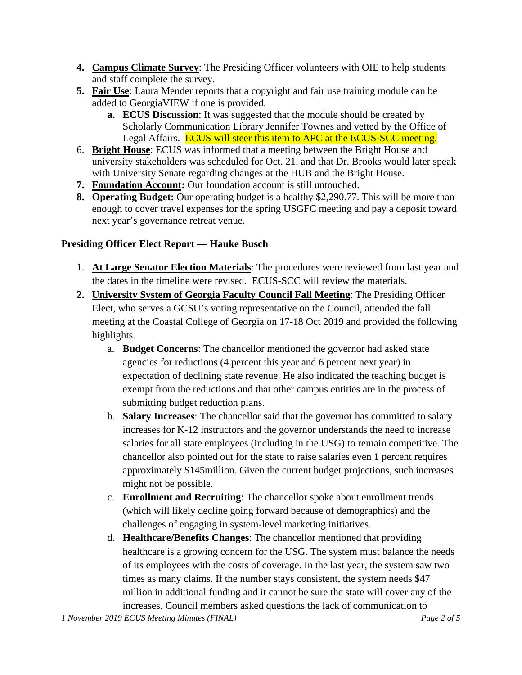- **4. Campus Climate Survey**: The Presiding Officer volunteers with OIE to help students and staff complete the survey.
- **5. Fair Use**: Laura Mender reports that a copyright and fair use training module can be added to GeorgiaVIEW if one is provided.
	- **a. ECUS Discussion**: It was suggested that the module should be created by Scholarly Communication Library Jennifer Townes and vetted by the Office of Legal Affairs. **ECUS** will steer this item to APC at the ECUS-SCC meeting.
- 6. **Bright House**: ECUS was informed that a meeting between the Bright House and university stakeholders was scheduled for Oct. 21, and that Dr. Brooks would later speak with University Senate regarding changes at the HUB and the Bright House.
- **7. Foundation Account:** Our foundation account is still untouched.
- **8. Operating Budget:** Our operating budget is a healthy \$2,290.77. This will be more than enough to cover travel expenses for the spring USGFC meeting and pay a deposit toward next year's governance retreat venue.

## **Presiding Officer Elect Report — Hauke Busch**

- 1. **At Large Senator Election Materials**: The procedures were reviewed from last year and the dates in the timeline were revised. ECUS-SCC will review the materials.
- **2. University System of Georgia Faculty Council Fall Meeting**: The Presiding Officer Elect, who serves a GCSU's voting representative on the Council, attended the fall meeting at the Coastal College of Georgia on 17-18 Oct 2019 and provided the following highlights.
	- a. **Budget Concerns**: The chancellor mentioned the governor had asked state agencies for reductions (4 percent this year and 6 percent next year) in expectation of declining state revenue. He also indicated the teaching budget is exempt from the reductions and that other campus entities are in the process of submitting budget reduction plans.
	- b. **Salary Increases**: The chancellor said that the governor has committed to salary increases for K-12 instructors and the governor understands the need to increase salaries for all state employees (including in the USG) to remain competitive. The chancellor also pointed out for the state to raise salaries even 1 percent requires approximately \$145million. Given the current budget projections, such increases might not be possible.
	- c. **Enrollment and Recruiting**: The chancellor spoke about enrollment trends (which will likely decline going forward because of demographics) and the challenges of engaging in system-level marketing initiatives.
	- d. **Healthcare/Benefits Changes**: The chancellor mentioned that providing healthcare is a growing concern for the USG. The system must balance the needs of its employees with the costs of coverage. In the last year, the system saw two times as many claims. If the number stays consistent, the system needs \$47 million in additional funding and it cannot be sure the state will cover any of the increases. Council members asked questions the lack of communication to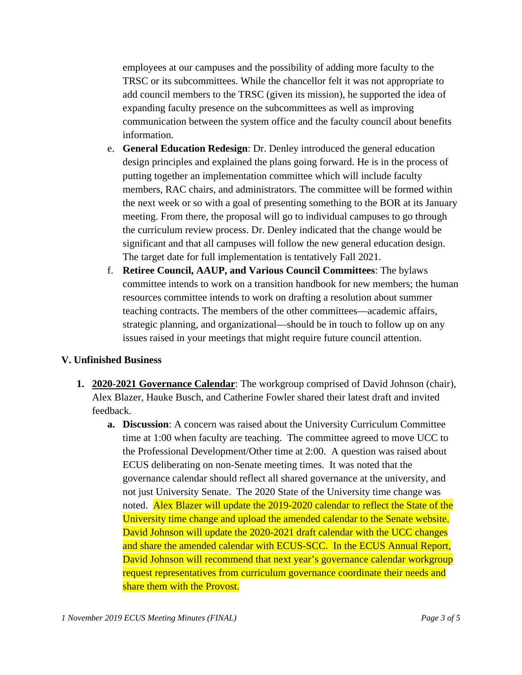employees at our campuses and the possibility of adding more faculty to the TRSC or its subcommittees. While the chancellor felt it was not appropriate to add council members to the TRSC (given its mission), he supported the idea of expanding faculty presence on the subcommittees as well as improving communication between the system office and the faculty council about benefits information.

- e. **General Education Redesign**: Dr. Denley introduced the general education design principles and explained the plans going forward. He is in the process of putting together an implementation committee which will include faculty members, RAC chairs, and administrators. The committee will be formed within the next week or so with a goal of presenting something to the BOR at its January meeting. From there, the proposal will go to individual campuses to go through the curriculum review process. Dr. Denley indicated that the change would be significant and that all campuses will follow the new general education design. The target date for full implementation is tentatively Fall 2021.
- f. **Retiree Council, AAUP, and Various Council Committees**: The bylaws committee intends to work on a transition handbook for new members; the human resources committee intends to work on drafting a resolution about summer teaching contracts. The members of the other committees—academic affairs, strategic planning, and organizational—should be in touch to follow up on any issues raised in your meetings that might require future council attention.

#### **V. Unfinished Business**

- **1. 2020-2021 Governance Calendar**: The workgroup comprised of David Johnson (chair), Alex Blazer, Hauke Busch, and Catherine Fowler shared their latest draft and invited feedback.
	- **a. Discussion**: A concern was raised about the University Curriculum Committee time at 1:00 when faculty are teaching. The committee agreed to move UCC to the Professional Development/Other time at 2:00. A question was raised about ECUS deliberating on non-Senate meeting times. It was noted that the governance calendar should reflect all shared governance at the university, and not just University Senate. The 2020 State of the University time change was noted. Alex Blazer will update the 2019-2020 calendar to reflect the State of the University time change and upload the amended calendar to the Senate website. David Johnson will update the 2020-2021 draft calendar with the UCC changes and share the amended calendar with ECUS-SCC. In the ECUS Annual Report, David Johnson will recommend that next year's governance calendar workgroup request representatives from curriculum governance coordinate their needs and share them with the Provost.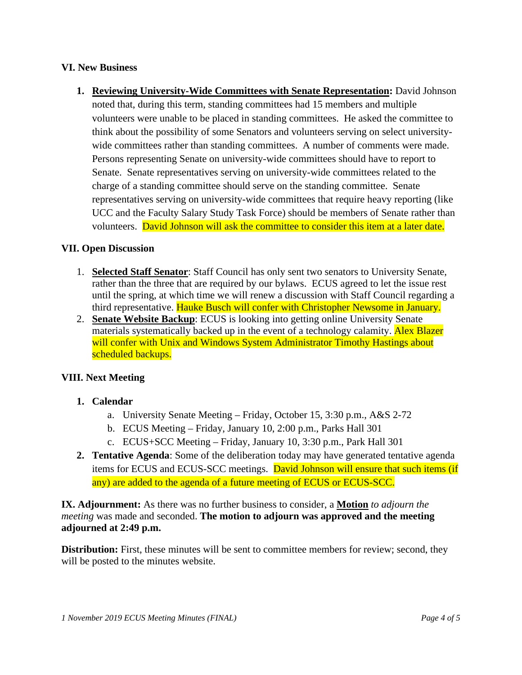#### **VI. New Business**

**1. Reviewing University-Wide Committees with Senate Representation:** David Johnson noted that, during this term, standing committees had 15 members and multiple volunteers were unable to be placed in standing committees. He asked the committee to think about the possibility of some Senators and volunteers serving on select universitywide committees rather than standing committees. A number of comments were made. Persons representing Senate on university-wide committees should have to report to Senate. Senate representatives serving on university-wide committees related to the charge of a standing committee should serve on the standing committee. Senate representatives serving on university-wide committees that require heavy reporting (like UCC and the Faculty Salary Study Task Force) should be members of Senate rather than volunteers. David Johnson will ask the committee to consider this item at a later date.

#### **VII. Open Discussion**

- 1. **Selected Staff Senator**: Staff Council has only sent two senators to University Senate, rather than the three that are required by our bylaws. ECUS agreed to let the issue rest until the spring, at which time we will renew a discussion with Staff Council regarding a third representative. Hauke Busch will confer with Christopher Newsome in January.
- 2. **Senate Website Backup**: ECUS is looking into getting online University Senate materials systematically backed up in the event of a technology calamity. Alex Blazer will confer with Unix and Windows System Administrator Timothy Hastings about scheduled backups.

## **VIII. Next Meeting**

## **1. Calendar**

- a. University Senate Meeting Friday, October 15, 3:30 p.m., A&S 2-72
- b. ECUS Meeting Friday, January 10, 2:00 p.m., Parks Hall 301
- c. ECUS+SCC Meeting Friday, January 10, 3:30 p.m., Park Hall 301
- **2. Tentative Agenda**: Some of the deliberation today may have generated tentative agenda items for ECUS and ECUS-SCC meetings. David Johnson will ensure that such items (if any) are added to the agenda of a future meeting of ECUS or ECUS-SCC.

**IX. Adjournment:** As there was no further business to consider, a **Motion** *to adjourn the meeting* was made and seconded. **The motion to adjourn was approved and the meeting adjourned at 2:49 p.m.**

**Distribution:** First, these minutes will be sent to committee members for review; second, they will be posted to the minutes website.